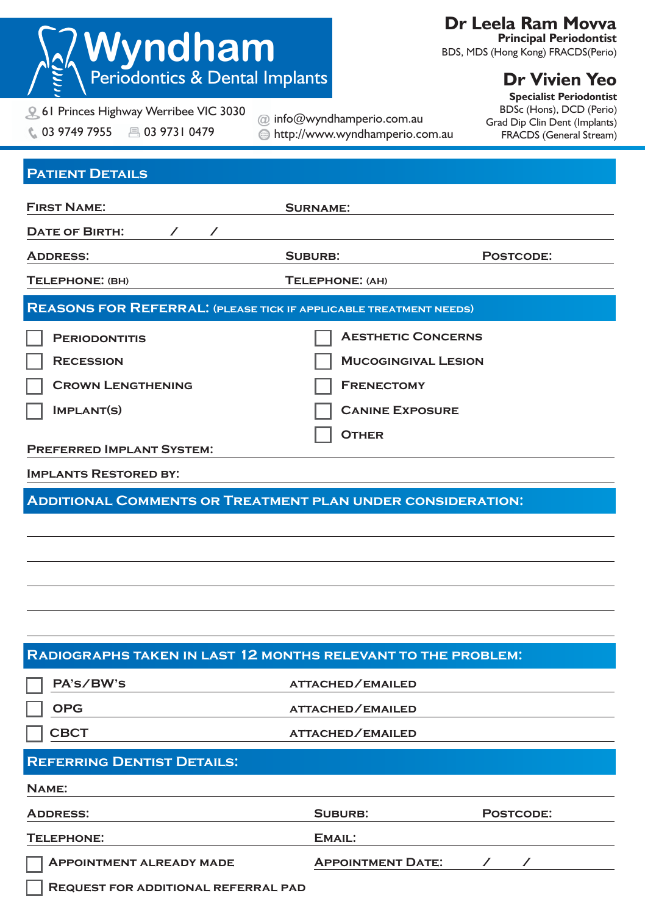| <b>Wyndham</b><br>Periodontics & Dental Implants                                   |                            | Dr Leela Ram Movva<br><b>Principal Periodontist</b><br>BDS, MDS (Hong Kong) FRACDS(Perio) |                                                                                                                                                |  |
|------------------------------------------------------------------------------------|----------------------------|-------------------------------------------------------------------------------------------|------------------------------------------------------------------------------------------------------------------------------------------------|--|
| <b>Q 61 Princes Highway Werribee VIC 3030</b><br>C. 03 9749 7955<br>■ 03 9731 0479 | @ info@wyndhamperio.com.au | http://www.wyndhamperio.com.au                                                            | <b>Dr Vivien Yeo</b><br><b>Specialist Periodontist</b><br>BDSc (Hons), DCD (Perio)<br>Grad Dip Clin Dent (Implants)<br>FRACDS (General Stream) |  |
| <b>PATIENT DETAILS</b>                                                             |                            |                                                                                           |                                                                                                                                                |  |
| <b>FIRST NAME:</b>                                                                 | <b>SURNAME:</b>            |                                                                                           |                                                                                                                                                |  |
| <b>DATE OF BIRTH:</b><br>$\sqrt{2}$                                                |                            |                                                                                           |                                                                                                                                                |  |
| <b>ADDRESS:</b>                                                                    | SUBURB:                    |                                                                                           | POSTCODE:                                                                                                                                      |  |
| TELEPHONE: (BH)                                                                    | TELEPHONE: (AH)            |                                                                                           |                                                                                                                                                |  |
| <b>REASONS FOR REFERRAL: (PLEASE TICK IF APPLICABLE TREATMENT NEEDS)</b>           |                            |                                                                                           |                                                                                                                                                |  |
| <b>PERIODONTITIS</b>                                                               |                            | <b>AESTHETIC CONCERNS</b>                                                                 |                                                                                                                                                |  |
| <b>RECESSION</b>                                                                   |                            | <b>MUCOGINGIVAL LESION</b>                                                                |                                                                                                                                                |  |
| Crown Lengthening                                                                  |                            | <b>FRENECTOMY</b>                                                                         |                                                                                                                                                |  |
| IMPLANT(S)                                                                         |                            | <b>CANINE EXPOSURE</b>                                                                    |                                                                                                                                                |  |
| <b>PREFERRED IMPLANT SYSTEM:</b>                                                   |                            | <b>OTHER</b>                                                                              |                                                                                                                                                |  |
| <b>IMPLANTS RESTORED BY:</b>                                                       |                            |                                                                                           |                                                                                                                                                |  |
| ADDITIONAL COMMENTS OR TREATMENT PLAN UNDER CONSIDERATION:                         |                            |                                                                                           |                                                                                                                                                |  |
|                                                                                    |                            |                                                                                           |                                                                                                                                                |  |
|                                                                                    |                            |                                                                                           |                                                                                                                                                |  |
|                                                                                    |                            |                                                                                           |                                                                                                                                                |  |
|                                                                                    |                            |                                                                                           |                                                                                                                                                |  |
|                                                                                    |                            |                                                                                           |                                                                                                                                                |  |
|                                                                                    |                            |                                                                                           |                                                                                                                                                |  |
| RADIOGRAPHS TAKEN IN LAST 12 MONTHS RELEVANT TO THE PROBLEM:                       |                            |                                                                                           |                                                                                                                                                |  |
| PA's/BW's                                                                          |                            | ATTACHED/EMAILED                                                                          |                                                                                                                                                |  |
| <b>OPG</b>                                                                         |                            | ATTACHED/EMAILED                                                                          |                                                                                                                                                |  |
| <b>CBCT</b>                                                                        |                            | <b>ATTACHED/EMAILED</b>                                                                   |                                                                                                                                                |  |
| <b>REFERRING DENTIST DETAILS:</b>                                                  |                            |                                                                                           |                                                                                                                                                |  |
| NAME:                                                                              |                            |                                                                                           |                                                                                                                                                |  |
| <b>ADDRESS:</b>                                                                    | SUBURB:                    |                                                                                           | POSTCODE:                                                                                                                                      |  |
| TELEPHONE:                                                                         |                            | EMAIL:                                                                                    |                                                                                                                                                |  |
| <b>APPOINTMENT ALREADY MADE</b>                                                    |                            | <b>APPOINTMENT DATE:</b>                                                                  |                                                                                                                                                |  |

**REQUEST FOR ADDITIONAL REFERRAL PAD**